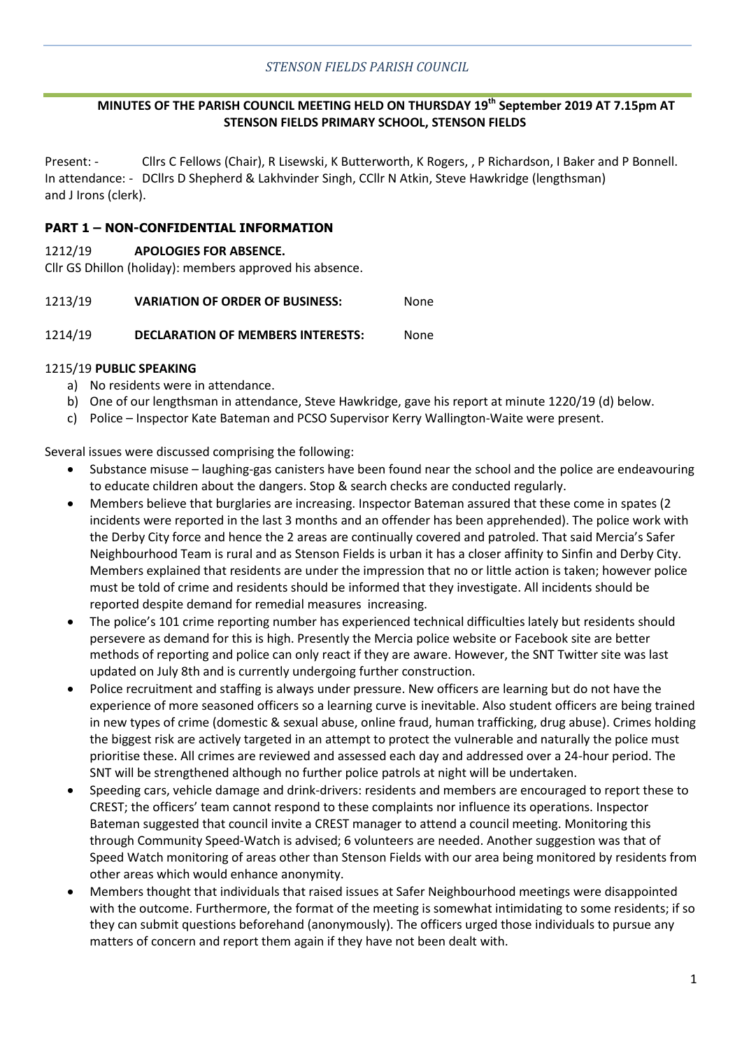## **MINUTES OF THE PARISH COUNCIL MEETING HELD ON THURSDAY 19th September 2019 AT 7.15pm AT STENSON FIELDS PRIMARY SCHOOL, STENSON FIELDS**

Present: - Cllrs C Fellows (Chair), R Lisewski, K Butterworth, K Rogers, , P Richardson, I Baker and P Bonnell. In attendance: - DCllrs D Shepherd & Lakhvinder Singh, CCllr N Atkin, Steve Hawkridge (lengthsman) and J Irons (clerk).

### **PART 1 – NON-CONFIDENTIAL INFORMATION**

#### 1212/19 **APOLOGIES FOR ABSENCE.**

Cllr GS Dhillon (holiday): members approved his absence.

1213/19 **VARIATION OF ORDER OF BUSINESS:** None

#### 1214/19 **DECLARATION OF MEMBERS INTERESTS:** None

### 1215/19 **PUBLIC SPEAKING**

- a) No residents were in attendance.
- b) One of our lengthsman in attendance, Steve Hawkridge, gave his report at minute 1220/19 (d) below.
- c) Police Inspector Kate Bateman and PCSO Supervisor Kerry Wallington-Waite were present.

Several issues were discussed comprising the following:

- Substance misuse laughing-gas canisters have been found near the school and the police are endeavouring to educate children about the dangers. Stop & search checks are conducted regularly.
- Members believe that burglaries are increasing. Inspector Bateman assured that these come in spates (2 incidents were reported in the last 3 months and an offender has been apprehended). The police work with the Derby City force and hence the 2 areas are continually covered and patroled. That said Mercia's Safer Neighbourhood Team is rural and as Stenson Fields is urban it has a closer affinity to Sinfin and Derby City. Members explained that residents are under the impression that no or little action is taken; however police must be told of crime and residents should be informed that they investigate. All incidents should be reported despite demand for remedial measures increasing.
- The police's 101 crime reporting number has experienced technical difficulties lately but residents should persevere as demand for this is high. Presently the Mercia police website or Facebook site are better methods of reporting and police can only react if they are aware. However, the SNT Twitter site was last updated on July 8th and is currently undergoing further construction.
- Police recruitment and staffing is always under pressure. New officers are learning but do not have the experience of more seasoned officers so a learning curve is inevitable. Also student officers are being trained in new types of crime (domestic & sexual abuse, online fraud, human trafficking, drug abuse). Crimes holding the biggest risk are actively targeted in an attempt to protect the vulnerable and naturally the police must prioritise these. All crimes are reviewed and assessed each day and addressed over a 24-hour period. The SNT will be strengthened although no further police patrols at night will be undertaken.
- Speeding cars, vehicle damage and drink-drivers: residents and members are encouraged to report these to CREST; the officers' team cannot respond to these complaints nor influence its operations. Inspector Bateman suggested that council invite a CREST manager to attend a council meeting. Monitoring this through Community Speed-Watch is advised; 6 volunteers are needed. Another suggestion was that of Speed Watch monitoring of areas other than Stenson Fields with our area being monitored by residents from other areas which would enhance anonymity.
- Members thought that individuals that raised issues at Safer Neighbourhood meetings were disappointed with the outcome. Furthermore, the format of the meeting is somewhat intimidating to some residents; if so they can submit questions beforehand (anonymously). The officers urged those individuals to pursue any matters of concern and report them again if they have not been dealt with.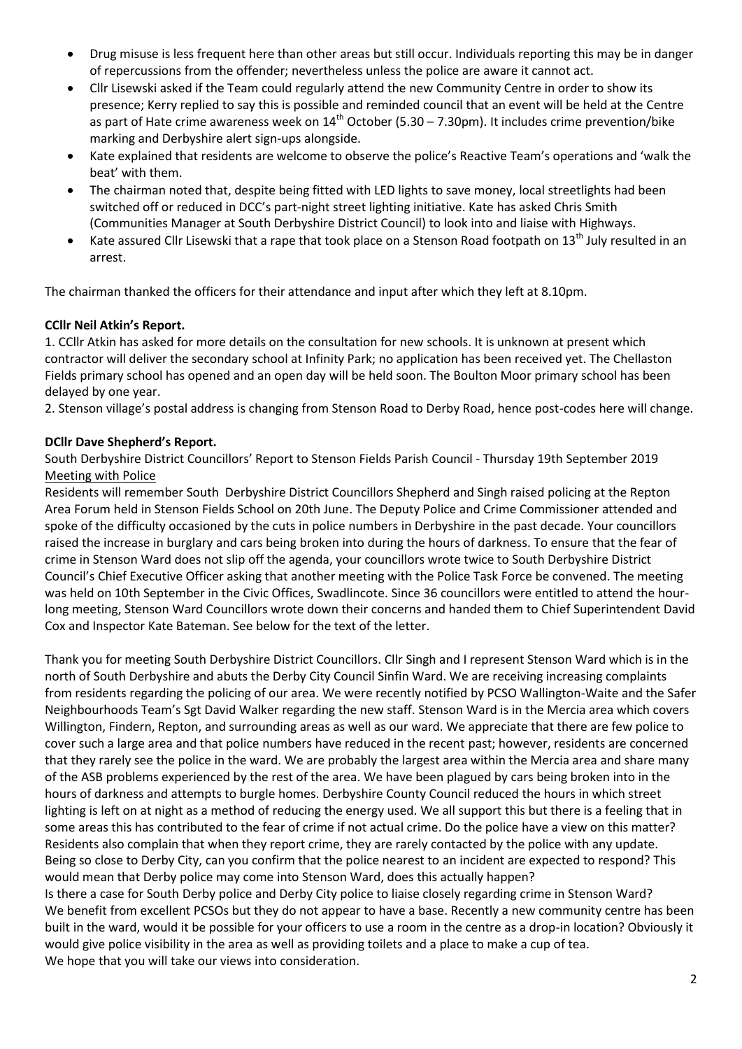- Drug misuse is less frequent here than other areas but still occur. Individuals reporting this may be in danger of repercussions from the offender; nevertheless unless the police are aware it cannot act.
- Cllr Lisewski asked if the Team could regularly attend the new Community Centre in order to show its presence; Kerry replied to say this is possible and reminded council that an event will be held at the Centre as part of Hate crime awareness week on  $14<sup>th</sup>$  October (5.30 – 7.30pm). It includes crime prevention/bike marking and Derbyshire alert sign-ups alongside.
- Kate explained that residents are welcome to observe the police's Reactive Team's operations and 'walk the beat' with them.
- The chairman noted that, despite being fitted with LED lights to save money, local streetlights had been switched off or reduced in DCC's part-night street lighting initiative. Kate has asked Chris Smith (Communities Manager at South Derbyshire District Council) to look into and liaise with Highways.
- Kate assured Cllr Lisewski that a rape that took place on a Stenson Road footpath on 13<sup>th</sup> July resulted in an arrest.

The chairman thanked the officers for their attendance and input after which they left at 8.10pm.

### **CCllr Neil Atkin's Report.**

1. CCllr Atkin has asked for more details on the consultation for new schools. It is unknown at present which contractor will deliver the secondary school at Infinity Park; no application has been received yet. The Chellaston Fields primary school has opened and an open day will be held soon. The Boulton Moor primary school has been delayed by one year.

2. Stenson village's postal address is changing from Stenson Road to Derby Road, hence post-codes here will change.

### **DCllr Dave Shepherd's Report.**

South Derbyshire District Councillors' Report to Stenson Fields Parish Council - Thursday 19th September 2019 Meeting with Police

Residents will remember South Derbyshire District Councillors Shepherd and Singh raised policing at the Repton Area Forum held in Stenson Fields School on 20th June. The Deputy Police and Crime Commissioner attended and spoke of the difficulty occasioned by the cuts in police numbers in Derbyshire in the past decade. Your councillors raised the increase in burglary and cars being broken into during the hours of darkness. To ensure that the fear of crime in Stenson Ward does not slip off the agenda, your councillors wrote twice to South Derbyshire District Council's Chief Executive Officer asking that another meeting with the Police Task Force be convened. The meeting was held on 10th September in the Civic Offices, Swadlincote. Since 36 councillors were entitled to attend the hourlong meeting, Stenson Ward Councillors wrote down their concerns and handed them to Chief Superintendent David Cox and Inspector Kate Bateman. See below for the text of the letter.

Thank you for meeting South Derbyshire District Councillors. Cllr Singh and I represent Stenson Ward which is in the north of South Derbyshire and abuts the Derby City Council Sinfin Ward. We are receiving increasing complaints from residents regarding the policing of our area. We were recently notified by PCSO Wallington-Waite and the Safer Neighbourhoods Team's Sgt David Walker regarding the new staff. Stenson Ward is in the Mercia area which covers Willington, Findern, Repton, and surrounding areas as well as our ward. We appreciate that there are few police to cover such a large area and that police numbers have reduced in the recent past; however, residents are concerned that they rarely see the police in the ward. We are probably the largest area within the Mercia area and share many of the ASB problems experienced by the rest of the area. We have been plagued by cars being broken into in the hours of darkness and attempts to burgle homes. Derbyshire County Council reduced the hours in which street lighting is left on at night as a method of reducing the energy used. We all support this but there is a feeling that in some areas this has contributed to the fear of crime if not actual crime. Do the police have a view on this matter? Residents also complain that when they report crime, they are rarely contacted by the police with any update. Being so close to Derby City, can you confirm that the police nearest to an incident are expected to respond? This would mean that Derby police may come into Stenson Ward, does this actually happen?

Is there a case for South Derby police and Derby City police to liaise closely regarding crime in Stenson Ward? We benefit from excellent PCSOs but they do not appear to have a base. Recently a new community centre has been built in the ward, would it be possible for your officers to use a room in the centre as a drop-in location? Obviously it would give police visibility in the area as well as providing toilets and a place to make a cup of tea. We hope that you will take our views into consideration.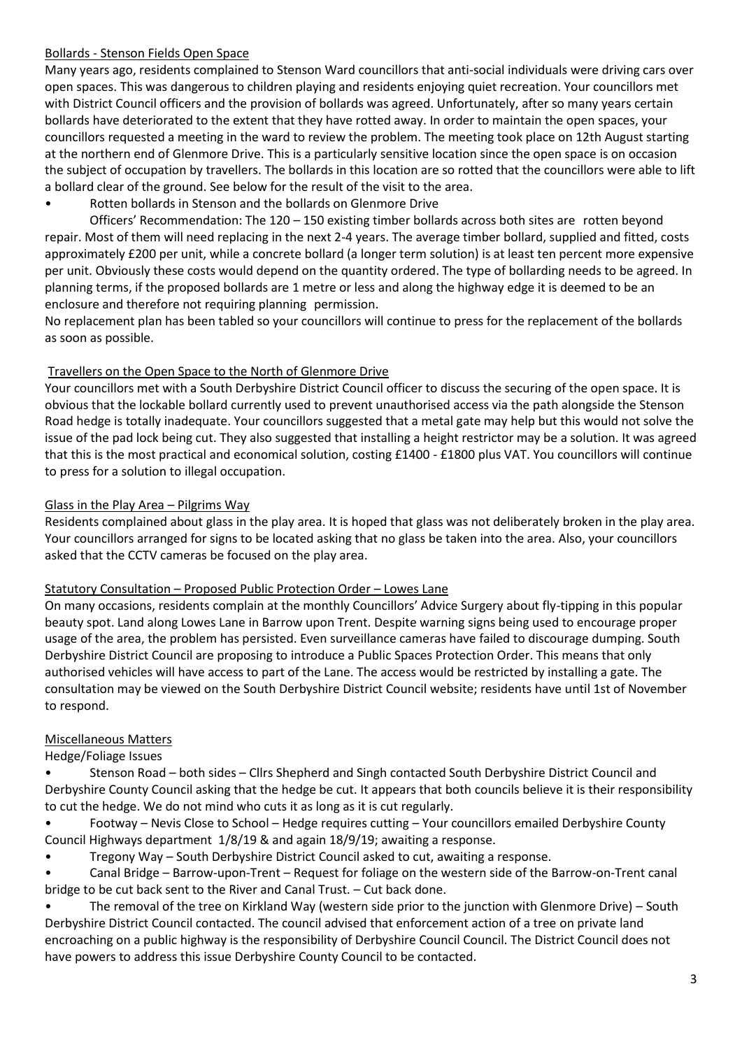## Bollards - Stenson Fields Open Space

Many years ago, residents complained to Stenson Ward councillors that anti-social individuals were driving cars over open spaces. This was dangerous to children playing and residents enjoying quiet recreation. Your councillors met with District Council officers and the provision of bollards was agreed. Unfortunately, after so many years certain bollards have deteriorated to the extent that they have rotted away. In order to maintain the open spaces, your councillors requested a meeting in the ward to review the problem. The meeting took place on 12th August starting at the northern end of Glenmore Drive. This is a particularly sensitive location since the open space is on occasion the subject of occupation by travellers. The bollards in this location are so rotted that the councillors were able to lift a bollard clear of the ground. See below for the result of the visit to the area.

• Rotten bollards in Stenson and the bollards on Glenmore Drive

Officers' Recommendation: The 120 – 150 existing timber bollards across both sites are rotten beyond repair. Most of them will need replacing in the next 2-4 years. The average timber bollard, supplied and fitted, costs approximately £200 per unit, while a concrete bollard (a longer term solution) is at least ten percent more expensive per unit. Obviously these costs would depend on the quantity ordered. The type of bollarding needs to be agreed. In planning terms, if the proposed bollards are 1 metre or less and along the highway edge it is deemed to be an enclosure and therefore not requiring planning permission.

No replacement plan has been tabled so your councillors will continue to press for the replacement of the bollards as soon as possible.

## Travellers on the Open Space to the North of Glenmore Drive

Your councillors met with a South Derbyshire District Council officer to discuss the securing of the open space. It is obvious that the lockable bollard currently used to prevent unauthorised access via the path alongside the Stenson Road hedge is totally inadequate. Your councillors suggested that a metal gate may help but this would not solve the issue of the pad lock being cut. They also suggested that installing a height restrictor may be a solution. It was agreed that this is the most practical and economical solution, costing £1400 - £1800 plus VAT. You councillors will continue to press for a solution to illegal occupation.

## Glass in the Play Area – Pilgrims Way

Residents complained about glass in the play area. It is hoped that glass was not deliberately broken in the play area. Your councillors arranged for signs to be located asking that no glass be taken into the area. Also, your councillors asked that the CCTV cameras be focused on the play area.

### Statutory Consultation – Proposed Public Protection Order – Lowes Lane

On many occasions, residents complain at the monthly Councillors' Advice Surgery about fly-tipping in this popular beauty spot. Land along Lowes Lane in Barrow upon Trent. Despite warning signs being used to encourage proper usage of the area, the problem has persisted. Even surveillance cameras have failed to discourage dumping. South Derbyshire District Council are proposing to introduce a Public Spaces Protection Order. This means that only authorised vehicles will have access to part of the Lane. The access would be restricted by installing a gate. The consultation may be viewed on the South Derbyshire District Council website; residents have until 1st of November to respond.

# Miscellaneous Matters

Hedge/Foliage Issues

• Stenson Road – both sides – Cllrs Shepherd and Singh contacted South Derbyshire District Council and Derbyshire County Council asking that the hedge be cut. It appears that both councils believe it is their responsibility to cut the hedge. We do not mind who cuts it as long as it is cut regularly.

- Footway Nevis Close to School Hedge requires cutting Your councillors emailed Derbyshire County Council Highways department 1/8/19 & and again 18/9/19; awaiting a response.
- Tregony Way South Derbyshire District Council asked to cut, awaiting a response.
- Canal Bridge Barrow-upon-Trent Request for foliage on the western side of the Barrow-on-Trent canal bridge to be cut back sent to the River and Canal Trust. – Cut back done.
- The removal of the tree on Kirkland Way (western side prior to the junction with Glenmore Drive) South Derbyshire District Council contacted. The council advised that enforcement action of a tree on private land encroaching on a public highway is the responsibility of Derbyshire Council Council. The District Council does not have powers to address this issue Derbyshire County Council to be contacted.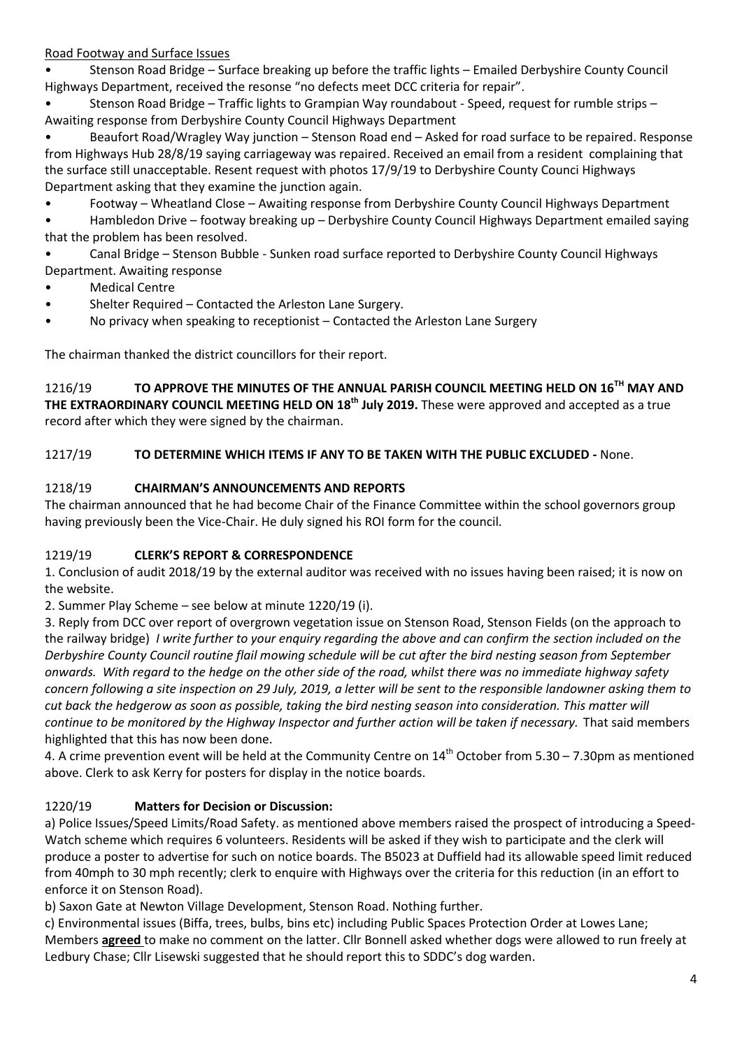Road Footway and Surface Issues

• Stenson Road Bridge – Surface breaking up before the traffic lights – Emailed Derbyshire County Council Highways Department, received the resonse "no defects meet DCC criteria for repair".

• Stenson Road Bridge – Traffic lights to Grampian Way roundabout - Speed, request for rumble strips – Awaiting response from Derbyshire County Council Highways Department

• Beaufort Road/Wragley Way junction – Stenson Road end – Asked for road surface to be repaired. Response from Highways Hub 28/8/19 saying carriageway was repaired. Received an email from a resident complaining that the surface still unacceptable. Resent request with photos 17/9/19 to Derbyshire County Counci Highways Department asking that they examine the junction again.

• Footway – Wheatland Close – Awaiting response from Derbyshire County Council Highways Department

• Hambledon Drive – footway breaking up – Derbyshire County Council Highways Department emailed saying that the problem has been resolved.

• Canal Bridge – Stenson Bubble - Sunken road surface reported to Derbyshire County Council Highways Department. Awaiting response

- **Medical Centre**
- Shelter Required Contacted the Arleston Lane Surgery.
- No privacy when speaking to receptionist Contacted the Arleston Lane Surgery

The chairman thanked the district councillors for their report.

1216/19 **TO APPROVE THE MINUTES OF THE ANNUAL PARISH COUNCIL MEETING HELD ON 16TH MAY AND THE EXTRAORDINARY COUNCIL MEETING HELD ON 18th July 2019.** These were approved and accepted as a true record after which they were signed by the chairman.

# 1217/19 **TO DETERMINE WHICH ITEMS IF ANY TO BE TAKEN WITH THE PUBLIC EXCLUDED -** None.

# 1218/19 **CHAIRMAN'S ANNOUNCEMENTS AND REPORTS**

The chairman announced that he had become Chair of the Finance Committee within the school governors group having previously been the Vice-Chair. He duly signed his ROI form for the council.

# 1219/19 **CLERK'S REPORT & CORRESPONDENCE**

1. Conclusion of audit 2018/19 by the external auditor was received with no issues having been raised; it is now on the website.

2. Summer Play Scheme – see below at minute 1220/19 (i).

3. Reply from DCC over report of overgrown vegetation issue on Stenson Road, Stenson Fields (on the approach to the railway bridge) *I write further to your enquiry regarding the above and can confirm the section included on the Derbyshire County Council routine flail mowing schedule will be cut after the bird nesting season from September onwards. With regard to the hedge on the other side of the road, whilst there was no immediate highway safety concern following a site inspection on 29 July, 2019, a letter will be sent to the responsible landowner asking them to cut back the hedgerow as soon as possible, taking the bird nesting season into consideration. This matter will continue to be monitored by the Highway Inspector and further action will be taken if necessary.* That said members highlighted that this has now been done.

4. A crime prevention event will be held at the Community Centre on  $14<sup>th</sup>$  October from 5.30 – 7.30pm as mentioned above. Clerk to ask Kerry for posters for display in the notice boards.

# 1220/19 **Matters for Decision or Discussion:**

a) Police Issues/Speed Limits/Road Safety. as mentioned above members raised the prospect of introducing a Speed-Watch scheme which requires 6 volunteers. Residents will be asked if they wish to participate and the clerk will produce a poster to advertise for such on notice boards. The B5023 at Duffield had its allowable speed limit reduced from 40mph to 30 mph recently; clerk to enquire with Highways over the criteria for this reduction (in an effort to enforce it on Stenson Road).

b) Saxon Gate at Newton Village Development, Stenson Road. Nothing further.

c) Environmental issues (Biffa, trees, bulbs, bins etc) including Public Spaces Protection Order at Lowes Lane; Members **agreed** to make no comment on the latter. Cllr Bonnell asked whether dogs were allowed to run freely at Ledbury Chase; Cllr Lisewski suggested that he should report this to SDDC's dog warden.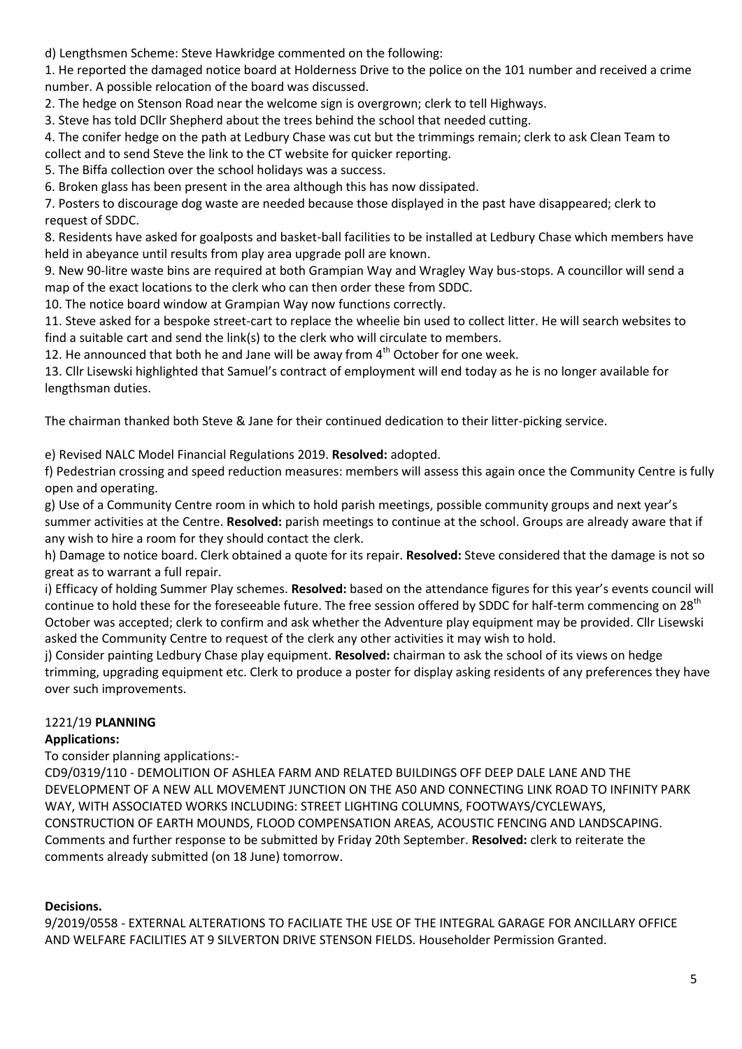d) Lengthsmen Scheme: Steve Hawkridge commented on the following:

1. He reported the damaged notice board at Holderness Drive to the police on the 101 number and received a crime number. A possible relocation of the board was discussed.

2. The hedge on Stenson Road near the welcome sign is overgrown; clerk to tell Highways.

3. Steve has told DCllr Shepherd about the trees behind the school that needed cutting.

4. The conifer hedge on the path at Ledbury Chase was cut but the trimmings remain; clerk to ask Clean Team to collect and to send Steve the link to the CT website for quicker reporting.

5. The Biffa collection over the school holidays was a success.

6. Broken glass has been present in the area although this has now dissipated.

7. Posters to discourage dog waste are needed because those displayed in the past have disappeared; clerk to request of SDDC.

8. Residents have asked for goalposts and basket-ball facilities to be installed at Ledbury Chase which members have held in abeyance until results from play area upgrade poll are known.

9. New 90-litre waste bins are required at both Grampian Way and Wragley Way bus-stops. A councillor will send a map of the exact locations to the clerk who can then order these from SDDC.

10. The notice board window at Grampian Way now functions correctly.

11. Steve asked for a bespoke street-cart to replace the wheelie bin used to collect litter. He will search websites to find a suitable cart and send the link(s) to the clerk who will circulate to members.

12. He announced that both he and Jane will be away from  $4<sup>th</sup>$  October for one week.

13. Cllr Lisewski highlighted that Samuel's contract of employment will end today as he is no longer available for lengthsman duties.

The chairman thanked both Steve & Jane for their continued dedication to their litter-picking service.

e) Revised NALC Model Financial Regulations 2019. **Resolved:** adopted.

f) Pedestrian crossing and speed reduction measures: members will assess this again once the Community Centre is fully open and operating.

g) Use of a Community Centre room in which to hold parish meetings, possible community groups and next year's summer activities at the Centre. **Resolved:** parish meetings to continue at the school. Groups are already aware that if any wish to hire a room for they should contact the clerk.

h) Damage to notice board. Clerk obtained a quote for its repair. **Resolved:** Steve considered that the damage is not so great as to warrant a full repair.

i) Efficacy of holding Summer Play schemes. **Resolved:** based on the attendance figures for this year's events council will continue to hold these for the foreseeable future. The free session offered by SDDC for half-term commencing on 28<sup>th</sup> October was accepted; clerk to confirm and ask whether the Adventure play equipment may be provided. Cllr Lisewski asked the Community Centre to request of the clerk any other activities it may wish to hold.

j) Consider painting Ledbury Chase play equipment. **Resolved:** chairman to ask the school of its views on hedge trimming, upgrading equipment etc. Clerk to produce a poster for display asking residents of any preferences they have over such improvements.

### 1221/19 **PLANNING**

### **Applications:**

To consider planning applications:-

CD9/0319/110 - DEMOLITION OF ASHLEA FARM AND RELATED BUILDINGS OFF DEEP DALE LANE AND THE DEVELOPMENT OF A NEW ALL MOVEMENT JUNCTION ON THE A50 AND CONNECTING LINK ROAD TO INFINITY PARK WAY, WITH ASSOCIATED WORKS INCLUDING: STREET LIGHTING COLUMNS, FOOTWAYS/CYCLEWAYS, CONSTRUCTION OF EARTH MOUNDS, FLOOD COMPENSATION AREAS, ACOUSTIC FENCING AND LANDSCAPING. Comments and further response to be submitted by Friday 20th September. **Resolved:** clerk to reiterate the comments already submitted (on 18 June) tomorrow.

### **Decisions.**

9/2019/0558 - EXTERNAL ALTERATIONS TO FACILIATE THE USE OF THE INTEGRAL GARAGE FOR ANCILLARY OFFICE AND WELFARE FACILITIES AT 9 SILVERTON DRIVE STENSON FIELDS. Householder Permission Granted.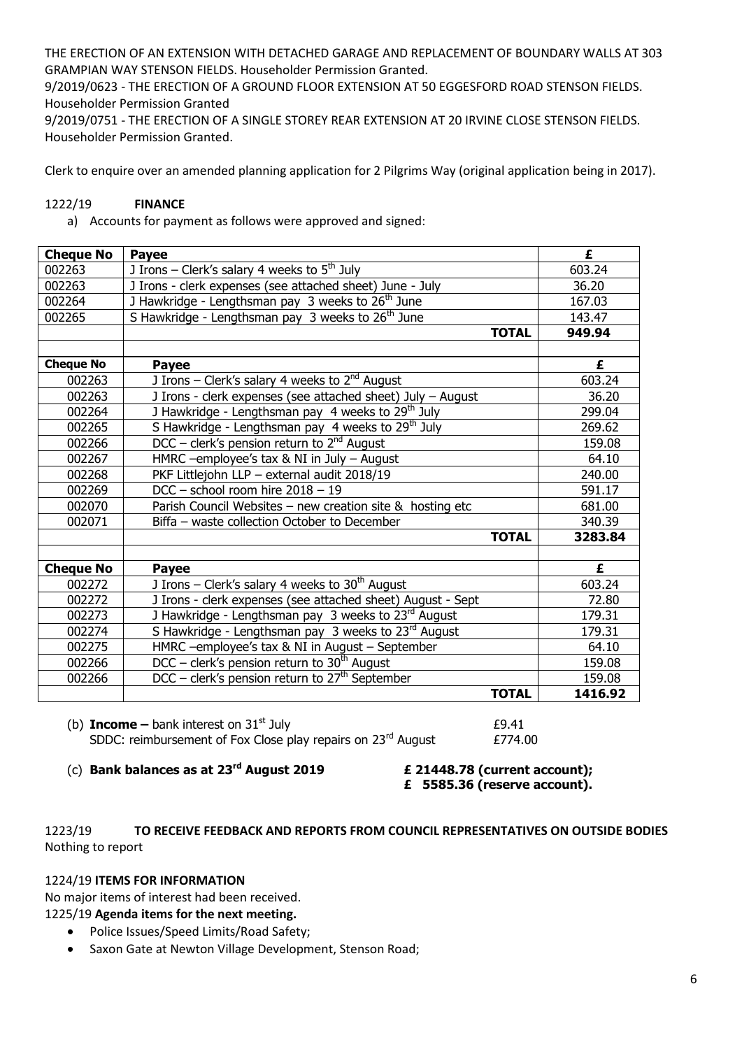THE ERECTION OF AN EXTENSION WITH DETACHED GARAGE AND REPLACEMENT OF BOUNDARY WALLS AT 303 GRAMPIAN WAY STENSON FIELDS. Householder Permission Granted.

9/2019/0623 - THE ERECTION OF A GROUND FLOOR EXTENSION AT 50 EGGESFORD ROAD STENSON FIELDS. Householder Permission Granted

9/2019/0751 - THE ERECTION OF A SINGLE STOREY REAR EXTENSION AT 20 IRVINE CLOSE STENSON FIELDS. Householder Permission Granted.

Clerk to enquire over an amended planning application for 2 Pilgrims Way (original application being in 2017).

#### 1222/19 **FINANCE**

a) Accounts for payment as follows were approved and signed:

| <b>Cheque No</b> | Payee                                                         | £       |
|------------------|---------------------------------------------------------------|---------|
| 002263           | J Irons – Clerk's salary 4 weeks to $5th$ July                | 603.24  |
| 002263           | J Irons - clerk expenses (see attached sheet) June - July     | 36.20   |
| 002264           | J Hawkridge - Lengthsman pay 3 weeks to 26 <sup>th</sup> June | 167.03  |
| 002265           | S Hawkridge - Lengthsman pay 3 weeks to $26th$ June           | 143.47  |
|                  | <b>TOTAL</b>                                                  | 949.94  |
|                  |                                                               |         |
| <b>Cheque No</b> | <b>Payee</b>                                                  | £       |
| 002263           | J Irons – Clerk's salary 4 weeks to $2^{nd}$ August           | 603.24  |
| 002263           | J Irons - clerk expenses (see attached sheet) July - August   | 36.20   |
| 002264           | J Hawkridge - Lengthsman pay 4 weeks to 29 <sup>th</sup> July | 299.04  |
| 002265           | S Hawkridge - Lengthsman pay 4 weeks to 29 <sup>th</sup> July | 269.62  |
| 002266           | DCC – clerk's pension return to $2^{nd}$ August               | 159.08  |
| 002267           | HMRC -employee's tax $&$ NI in July - August                  | 64.10   |
| 002268           | PKF Littlejohn LLP - external audit 2018/19                   | 240.00  |
| 002269           | DCC - school room hire $2018 - 19$                            | 591.17  |
| 002070           | Parish Council Websites - new creation site $\&$ hosting etc  | 681.00  |
| 002071           | Biffa - waste collection October to December                  | 340.39  |
|                  | <b>TOTAL</b>                                                  | 3283.84 |
|                  |                                                               |         |
| <b>Cheque No</b> | Payee                                                         | £       |
| 002272           | J Irons – Clerk's salary 4 weeks to $30th$ August             | 603.24  |
| 002272           | J Irons - clerk expenses (see attached sheet) August - Sept   | 72.80   |
| 002273           | J Hawkridge - Lengthsman pay 3 weeks to 23rd August           | 179.31  |
| 002274           | S Hawkridge - Lengthsman pay 3 weeks to 23rd August           | 179.31  |
| 002275           | HMRC -employee's tax & NI in August - September               | 64.10   |
| 002266           | DCC – clerk's pension return to $30th$ August                 | 159.08  |
| 002266           | DCC – clerk's pension return to $27th$ September              | 159.08  |
|                  | <b>TOTAL</b>                                                  | 1416.92 |

(b) **Income** – bank interest on  $31^{\text{st}}$  July  $\qquad 29.41$ SDDC: reimbursement of Fox Close play repairs on 23<sup>rd</sup> August £774.00

(c) **Bank balances as at 23rd August 2019 £ 21448.78 (current account);** 

**£ 5585.36 (reserve account).**

### 1223/19 **TO RECEIVE FEEDBACK AND REPORTS FROM COUNCIL REPRESENTATIVES ON OUTSIDE BODIES**  Nothing to report

#### 1224/19 **ITEMS FOR INFORMATION**

No major items of interest had been received.

#### 1225/19 **Agenda items for the next meeting.**

- Police Issues/Speed Limits/Road Safety;
- Saxon Gate at Newton Village Development, Stenson Road;